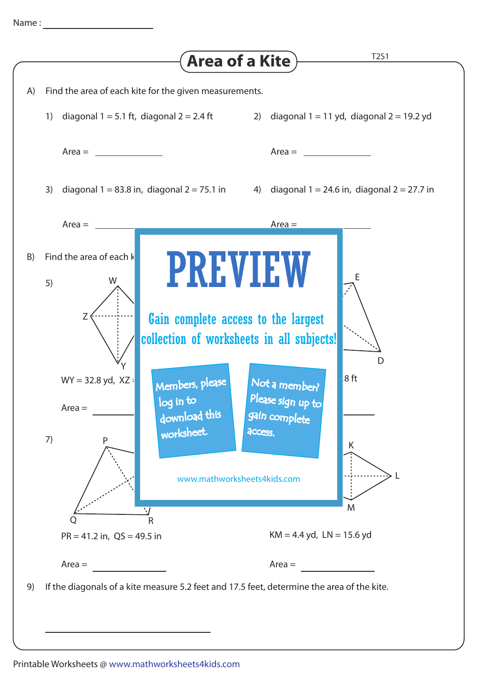